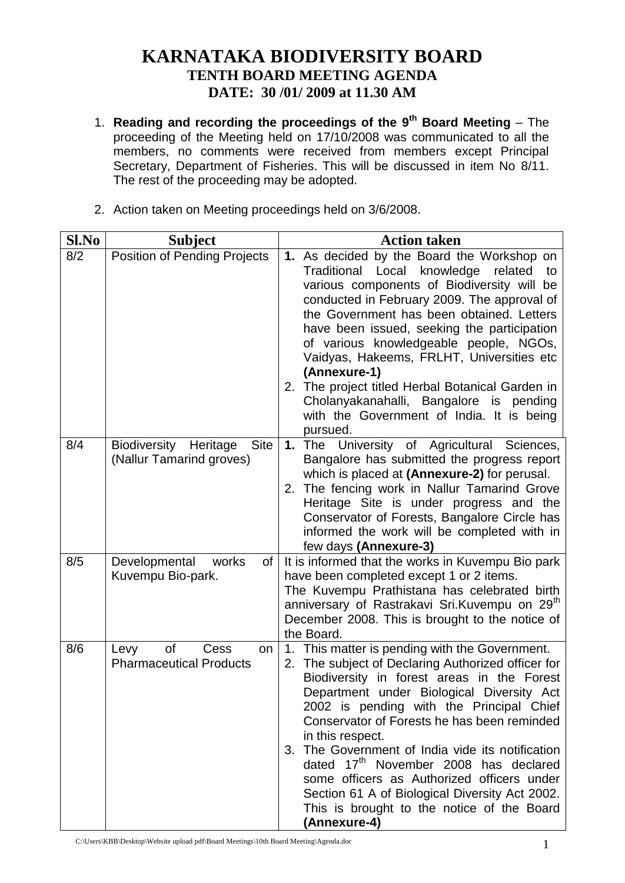## **KARNATAKA BIODIVERSITY BOARD TENTH BOARD MEETING AGENDA DATE: 30 /01/ 2009 at 11.30 AM**

- 1. **Reading and recording the proceedings of the 9 th Board Meeting** The proceeding of the Meeting held on 17/10/2008 was communicated to all the members, no comments were received from members except Principal Secretary, Department of Fisheries. This will be discussed in item No 8/11. The rest of the proceeding may be adopted.
- 2. Action taken on Meeting proceedings held on 3/6/2008.

| Sl.No | <b>Subject</b>                                                             | <b>Action taken</b>                                                                                                                                                                                                                                                                                                                                                                                                                                                                                                                                                                      |
|-------|----------------------------------------------------------------------------|------------------------------------------------------------------------------------------------------------------------------------------------------------------------------------------------------------------------------------------------------------------------------------------------------------------------------------------------------------------------------------------------------------------------------------------------------------------------------------------------------------------------------------------------------------------------------------------|
| 8/2   | <b>Position of Pending Projects</b>                                        | 1. As decided by the Board the Workshop on<br>Traditional<br>Local<br>knowledge<br>related<br>to<br>various components of Biodiversity will be<br>conducted in February 2009. The approval of<br>the Government has been obtained. Letters<br>have been issued, seeking the participation<br>of various knowledgeable people, NGOs,<br>Vaidyas, Hakeems, FRLHT, Universities etc<br>(Annexure-1)<br>2. The project titled Herbal Botanical Garden in<br>Cholanyakanahalli, Bangalore is pending<br>with the Government of India. It is being<br>pursued.                                 |
| 8/4   | <b>Site</b><br><b>Biodiversity</b><br>Heritage<br>(Nallur Tamarind groves) | University of Agricultural<br>Sciences.<br>1.<br>The<br>Bangalore has submitted the progress report<br>which is placed at (Annexure-2) for perusal.<br>The fencing work in Nallur Tamarind Grove<br>2.<br>Heritage Site is under progress and the<br>Conservator of Forests, Bangalore Circle has<br>informed the work will be completed with in<br>few days (Annexure-3)                                                                                                                                                                                                                |
| 8/5   | Developmental<br>works<br>of<br>Kuvempu Bio-park.                          | It is informed that the works in Kuvempu Bio park<br>have been completed except 1 or 2 items.<br>The Kuvempu Prathistana has celebrated birth<br>anniversary of Rastrakavi Sri.Kuvempu on 29 <sup>th</sup><br>December 2008. This is brought to the notice of<br>the Board.                                                                                                                                                                                                                                                                                                              |
| 8/6   | <b>of</b><br>Cess<br>Levy<br>on<br><b>Pharmaceutical Products</b>          | 1. This matter is pending with the Government.<br>2. The subject of Declaring Authorized officer for<br>Biodiversity in forest areas in the Forest<br>Department under Biological Diversity Act<br>2002 is pending with the Principal Chief<br>Conservator of Forests he has been reminded<br>in this respect.<br>The Government of India vide its notification<br>3.<br>dated 17 <sup>th</sup> November 2008 has declared<br>some officers as Authorized officers under<br>Section 61 A of Biological Diversity Act 2002.<br>This is brought to the notice of the Board<br>(Annexure-4) |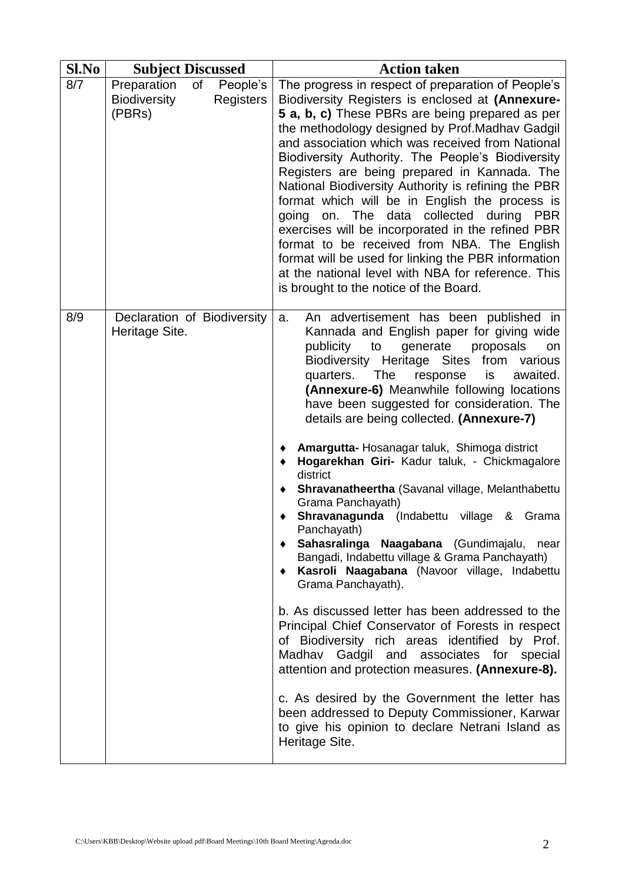| Sl.No | <b>Subject Discussed</b>                                                                  | <b>Action taken</b>                                                                                                                                                                                                                                                                                                                                                                                                                                                                                                                                                                                                                                                                                                                                                                                                                                                                                                                                                                                                                                                                                                                                                                                                                                              |
|-------|-------------------------------------------------------------------------------------------|------------------------------------------------------------------------------------------------------------------------------------------------------------------------------------------------------------------------------------------------------------------------------------------------------------------------------------------------------------------------------------------------------------------------------------------------------------------------------------------------------------------------------------------------------------------------------------------------------------------------------------------------------------------------------------------------------------------------------------------------------------------------------------------------------------------------------------------------------------------------------------------------------------------------------------------------------------------------------------------------------------------------------------------------------------------------------------------------------------------------------------------------------------------------------------------------------------------------------------------------------------------|
| 8/7   | Preparation<br><b>of</b><br>People's<br><b>Biodiversity</b><br><b>Registers</b><br>(PBRs) | The progress in respect of preparation of People's<br>Biodiversity Registers is enclosed at (Annexure-<br>5 a, b, c) These PBRs are being prepared as per<br>the methodology designed by Prof. Madhav Gadgil<br>and association which was received from National<br>Biodiversity Authority. The People's Biodiversity<br>Registers are being prepared in Kannada. The<br>National Biodiversity Authority is refining the PBR<br>format which will be in English the process is<br>going on. The data collected during PBR<br>exercises will be incorporated in the refined PBR<br>format to be received from NBA. The English<br>format will be used for linking the PBR information<br>at the national level with NBA for reference. This<br>is brought to the notice of the Board.                                                                                                                                                                                                                                                                                                                                                                                                                                                                             |
| 8/9   | Declaration of Biodiversity<br>Heritage Site.                                             | An advertisement has been published in<br>a.<br>Kannada and English paper for giving wide<br>generate<br>proposals<br>publicity to<br>on<br>Biodiversity Heritage Sites from various<br>is<br>awaited.<br>quarters.<br><b>The</b><br>response<br>(Annexure-6) Meanwhile following locations<br>have been suggested for consideration. The<br>details are being collected. (Annexure-7)<br>Amargutta- Hosanagar taluk, Shimoga district<br>Hogarekhan Giri- Kadur taluk, - Chickmagalore<br>district<br>Shravanatheertha (Savanal village, Melanthabettu<br>Grama Panchayath)<br>Shravanagunda (Indabettu village & Grama<br>Panchayath)<br>Sahasralinga Naagabana (Gundimajalu,<br>near<br>Bangadi, Indabettu village & Grama Panchayath)<br>Kasroli Naagabana (Navoor village, Indabettu<br>$\bullet$<br>Grama Panchayath).<br>b. As discussed letter has been addressed to the<br>Principal Chief Conservator of Forests in respect<br>of Biodiversity rich areas identified by Prof.<br>Madhav Gadgil and associates for special<br>attention and protection measures. (Annexure-8).<br>c. As desired by the Government the letter has<br>been addressed to Deputy Commissioner, Karwar<br>to give his opinion to declare Netrani Island as<br>Heritage Site. |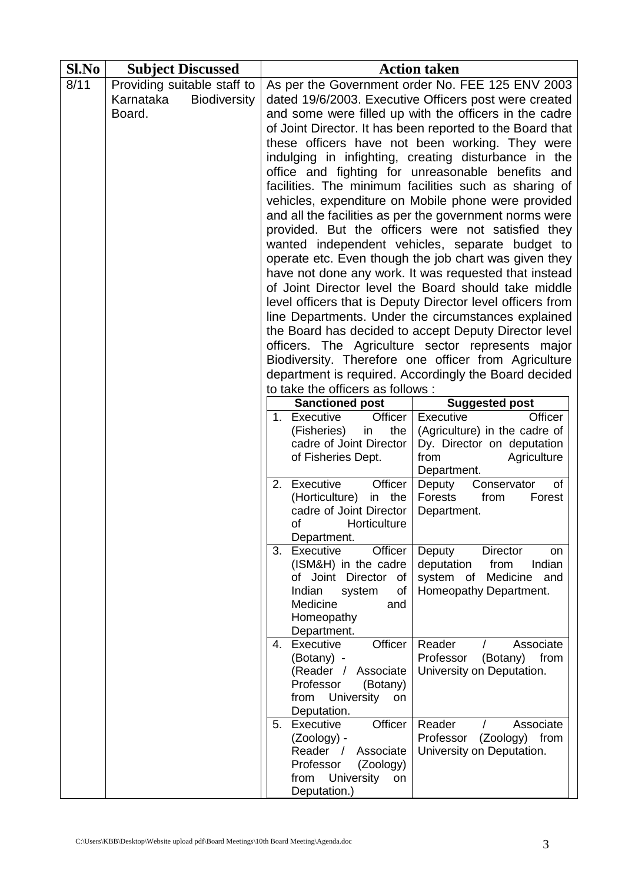| Sl.No | <b>Subject Discussed</b> |                                                    | <b>Action taken</b> |                                                                                                                                                      |                                                                                                                                                                                                                                                                                                                                                                                                                                                                                                                                                                                                                                                                                                                                                                                                                                                                                                                                                                                                                                                                                                                                                                                                                                             |  |
|-------|--------------------------|----------------------------------------------------|---------------------|------------------------------------------------------------------------------------------------------------------------------------------------------|---------------------------------------------------------------------------------------------------------------------------------------------------------------------------------------------------------------------------------------------------------------------------------------------------------------------------------------------------------------------------------------------------------------------------------------------------------------------------------------------------------------------------------------------------------------------------------------------------------------------------------------------------------------------------------------------------------------------------------------------------------------------------------------------------------------------------------------------------------------------------------------------------------------------------------------------------------------------------------------------------------------------------------------------------------------------------------------------------------------------------------------------------------------------------------------------------------------------------------------------|--|
| 8/11  | Karnataka<br>Board.      | Providing suitable staff to<br><b>Biodiversity</b> |                     | to take the officers as follows :<br><b>Sanctioned post</b>                                                                                          | As per the Government order No. FEE 125 ENV 2003<br>dated 19/6/2003. Executive Officers post were created<br>and some were filled up with the officers in the cadre<br>of Joint Director. It has been reported to the Board that<br>these officers have not been working. They were<br>indulging in infighting, creating disturbance in the<br>office and fighting for unreasonable benefits and<br>facilities. The minimum facilities such as sharing of<br>vehicles, expenditure on Mobile phone were provided<br>and all the facilities as per the government norms were<br>provided. But the officers were not satisfied they<br>wanted independent vehicles, separate budget to<br>operate etc. Even though the job chart was given they<br>have not done any work. It was requested that instead<br>of Joint Director level the Board should take middle<br>level officers that is Deputy Director level officers from<br>line Departments. Under the circumstances explained<br>the Board has decided to accept Deputy Director level<br>officers. The Agriculture sector represents major<br>Biodiversity. Therefore one officer from Agriculture<br>department is required. Accordingly the Board decided<br><b>Suggested post</b> |  |
|       |                          |                                                    |                     | 1. Executive<br>Officer                                                                                                                              | <b>Executive</b><br>Officer                                                                                                                                                                                                                                                                                                                                                                                                                                                                                                                                                                                                                                                                                                                                                                                                                                                                                                                                                                                                                                                                                                                                                                                                                 |  |
|       |                          |                                                    |                     | (Fisheries)<br>in<br>the<br>cadre of Joint Director<br>of Fisheries Dept.                                                                            | (Agriculture) in the cadre of<br>Dy. Director on deputation<br>from<br>Agriculture<br>Department.                                                                                                                                                                                                                                                                                                                                                                                                                                                                                                                                                                                                                                                                                                                                                                                                                                                                                                                                                                                                                                                                                                                                           |  |
|       |                          |                                                    |                     | Officer<br>2. Executive<br>(Horticulture)<br>the<br>in<br>cadre of Joint Director<br>of<br>Horticulture<br>Department.                               | Deputy<br>of<br>Conservator<br>Forests<br>from<br>Forest<br>Department.                                                                                                                                                                                                                                                                                                                                                                                                                                                                                                                                                                                                                                                                                                                                                                                                                                                                                                                                                                                                                                                                                                                                                                     |  |
|       |                          |                                                    |                     | 3. Executive<br>Officer<br>(ISM&H) in the cadre<br>of Joint Director<br>of<br>Indian<br>system<br>οf<br>Medicine<br>and<br>Homeopathy<br>Department. | Deputy<br><b>Director</b><br>on<br>Indian<br>deputation<br>from<br>system of Medicine<br>and<br>Homeopathy Department.                                                                                                                                                                                                                                                                                                                                                                                                                                                                                                                                                                                                                                                                                                                                                                                                                                                                                                                                                                                                                                                                                                                      |  |
|       |                          |                                                    | 4.                  | Executive<br>Officer<br>(Botany) -<br>(Reader / Associate<br>Professor<br>(Botany)<br>University<br>from<br>on<br>Deputation.                        | Reader<br>Associate<br>$\prime$<br>Professor<br>from<br>(Botany)<br>University on Deputation.                                                                                                                                                                                                                                                                                                                                                                                                                                                                                                                                                                                                                                                                                                                                                                                                                                                                                                                                                                                                                                                                                                                                               |  |
|       |                          |                                                    |                     | Officer<br>5. Executive<br>$(Zoology) -$<br>Reader /<br>Associate<br>Professor<br>(Zoology)<br>University<br>from<br>on<br>Deputation.)              | Reader<br>Associate<br>Professor (Zoology) from<br>University on Deputation.                                                                                                                                                                                                                                                                                                                                                                                                                                                                                                                                                                                                                                                                                                                                                                                                                                                                                                                                                                                                                                                                                                                                                                |  |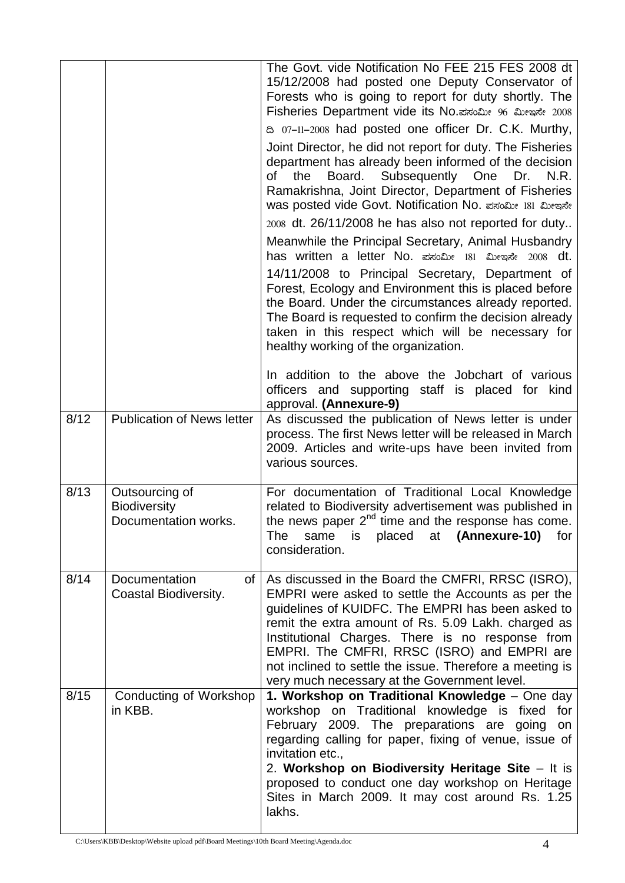|      |                                                               | The Govt, vide Notification No FEE 215 FES 2008 dt<br>15/12/2008 had posted one Deputy Conservator of<br>Forests who is going to report for duty shortly. The<br>Fisheries Department vide its No. ಪಸಂಮೀ 96 ಮೀಇನೇ 2008<br>a 07-11-2008 had posted one officer Dr. C.K. Murthy,<br>Joint Director, he did not report for duty. The Fisheries<br>department has already been informed of the decision<br>Board. Subsequently One<br>the<br>Dr.<br>N.R.<br>of<br>Ramakrishna, Joint Director, Department of Fisheries<br>was posted vide Govt. Notification No. ಪಸಂಮೀ 181 ಮೀಇಸೇ<br>2008 dt. 26/11/2008 he has also not reported for duty<br>Meanwhile the Principal Secretary, Animal Husbandry<br>has written a letter No. ಪಸಂಮೀ 181 ಮೀಇನೇ 2008 dt.<br>14/11/2008 to Principal Secretary, Department of<br>Forest, Ecology and Environment this is placed before<br>the Board. Under the circumstances already reported.<br>The Board is requested to confirm the decision already<br>taken in this respect which will be necessary for<br>healthy working of the organization.<br>In addition to the above the Jobchart of various<br>officers and supporting staff is placed for kind<br>approval. (Annexure-9) |
|------|---------------------------------------------------------------|-----------------------------------------------------------------------------------------------------------------------------------------------------------------------------------------------------------------------------------------------------------------------------------------------------------------------------------------------------------------------------------------------------------------------------------------------------------------------------------------------------------------------------------------------------------------------------------------------------------------------------------------------------------------------------------------------------------------------------------------------------------------------------------------------------------------------------------------------------------------------------------------------------------------------------------------------------------------------------------------------------------------------------------------------------------------------------------------------------------------------------------------------------------------------------------------------------------------|
| 8/12 | <b>Publication of News letter</b>                             | As discussed the publication of News letter is under<br>process. The first News letter will be released in March<br>2009. Articles and write-ups have been invited from<br>various sources.                                                                                                                                                                                                                                                                                                                                                                                                                                                                                                                                                                                                                                                                                                                                                                                                                                                                                                                                                                                                                     |
| 8/13 | Outsourcing of<br><b>Biodiversity</b><br>Documentation works. | For documentation of Traditional Local Knowledge<br>related to Biodiversity advertisement was published in<br>the news paper $2^{nd}$ time and the response has come.<br>placed<br>(Annexure-10)<br>for<br>at<br><b>The</b><br>same<br>is<br>consideration.                                                                                                                                                                                                                                                                                                                                                                                                                                                                                                                                                                                                                                                                                                                                                                                                                                                                                                                                                     |
| 8/14 | Documentation<br>of l<br>Coastal Biodiversity.                | As discussed in the Board the CMFRI, RRSC (ISRO),<br>EMPRI were asked to settle the Accounts as per the<br>guidelines of KUIDFC. The EMPRI has been asked to<br>remit the extra amount of Rs. 5.09 Lakh. charged as<br>Institutional Charges. There is no response from<br>EMPRI. The CMFRI, RRSC (ISRO) and EMPRI are<br>not inclined to settle the issue. Therefore a meeting is<br>very much necessary at the Government level.                                                                                                                                                                                                                                                                                                                                                                                                                                                                                                                                                                                                                                                                                                                                                                              |
| 8/15 | Conducting of Workshop<br>in KBB.                             | 1. Workshop on Traditional Knowledge - One day<br>workshop on Traditional knowledge is fixed<br>for<br>February 2009. The preparations are going<br>on<br>regarding calling for paper, fixing of venue, issue of<br>invitation etc.,<br>2. Workshop on Biodiversity Heritage Site - It is<br>proposed to conduct one day workshop on Heritage<br>Sites in March 2009. It may cost around Rs. 1.25<br>lakhs.                                                                                                                                                                                                                                                                                                                                                                                                                                                                                                                                                                                                                                                                                                                                                                                                     |

C:\Users\KBB\Desktop\Website upload pdf\Board Meetings\10th Board Meeting\Agenda.doc 4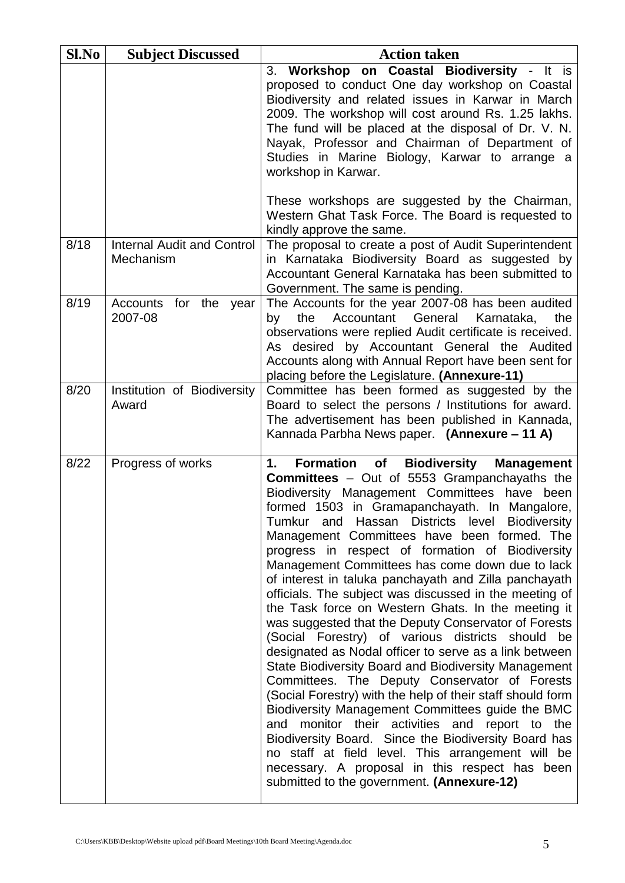| Sl.No | <b>Subject Discussed</b>                       | <b>Action taken</b>                                                                                                                                                                                                                                                                                                                                                                                                                                                                                                                                                                                                                                                                                                                                                                                                                                                                                                                                                                                                                                                                                                                                                                                                                                                                   |
|-------|------------------------------------------------|---------------------------------------------------------------------------------------------------------------------------------------------------------------------------------------------------------------------------------------------------------------------------------------------------------------------------------------------------------------------------------------------------------------------------------------------------------------------------------------------------------------------------------------------------------------------------------------------------------------------------------------------------------------------------------------------------------------------------------------------------------------------------------------------------------------------------------------------------------------------------------------------------------------------------------------------------------------------------------------------------------------------------------------------------------------------------------------------------------------------------------------------------------------------------------------------------------------------------------------------------------------------------------------|
|       |                                                | 3. Workshop on Coastal Biodiversity - It is<br>proposed to conduct One day workshop on Coastal<br>Biodiversity and related issues in Karwar in March<br>2009. The workshop will cost around Rs. 1.25 lakhs.<br>The fund will be placed at the disposal of Dr. V. N.<br>Nayak, Professor and Chairman of Department of<br>Studies in Marine Biology, Karwar to arrange a<br>workshop in Karwar.                                                                                                                                                                                                                                                                                                                                                                                                                                                                                                                                                                                                                                                                                                                                                                                                                                                                                        |
|       |                                                | These workshops are suggested by the Chairman,<br>Western Ghat Task Force. The Board is requested to<br>kindly approve the same.                                                                                                                                                                                                                                                                                                                                                                                                                                                                                                                                                                                                                                                                                                                                                                                                                                                                                                                                                                                                                                                                                                                                                      |
| 8/18  | <b>Internal Audit and Control</b><br>Mechanism | The proposal to create a post of Audit Superintendent<br>in Karnataka Biodiversity Board as suggested by<br>Accountant General Karnataka has been submitted to<br>Government. The same is pending.                                                                                                                                                                                                                                                                                                                                                                                                                                                                                                                                                                                                                                                                                                                                                                                                                                                                                                                                                                                                                                                                                    |
| 8/19  | Accounts for the year<br>2007-08               | The Accounts for the year 2007-08 has been audited<br>Accountant General<br>Karnataka,<br>the<br>the<br>by<br>observations were replied Audit certificate is received.<br>As desired by Accountant General the Audited<br>Accounts along with Annual Report have been sent for<br>placing before the Legislature. (Annexure-11)                                                                                                                                                                                                                                                                                                                                                                                                                                                                                                                                                                                                                                                                                                                                                                                                                                                                                                                                                       |
| 8/20  | Institution of Biodiversity<br>Award           | Committee has been formed as suggested by the<br>Board to select the persons / Institutions for award.<br>The advertisement has been published in Kannada,<br>Kannada Parbha News paper. (Annexure - 11 A)                                                                                                                                                                                                                                                                                                                                                                                                                                                                                                                                                                                                                                                                                                                                                                                                                                                                                                                                                                                                                                                                            |
| 8/22  | Progress of works                              | <b>Formation</b> of<br><b>Biodiversity</b><br>1.<br><b>Management</b><br><b>Committees</b> - Out of 5553 Grampanchayaths the<br>Biodiversity Management Committees have been<br>formed 1503 in Gramapanchayath. In Mangalore,<br>Tumkur and Hassan Districts level Biodiversity<br>Management Committees have been formed. The<br>progress in respect of formation of Biodiversity<br>Management Committees has come down due to lack<br>of interest in taluka panchayath and Zilla panchayath<br>officials. The subject was discussed in the meeting of<br>the Task force on Western Ghats. In the meeting it<br>was suggested that the Deputy Conservator of Forests<br>(Social Forestry) of various districts should be<br>designated as Nodal officer to serve as a link between<br><b>State Biodiversity Board and Biodiversity Management</b><br>Committees. The Deputy Conservator of Forests<br>(Social Forestry) with the help of their staff should form<br>Biodiversity Management Committees guide the BMC<br>and monitor their activities and report to the<br>Biodiversity Board. Since the Biodiversity Board has<br>no staff at field level. This arrangement will be<br>necessary. A proposal in this respect has been<br>submitted to the government. (Annexure-12) |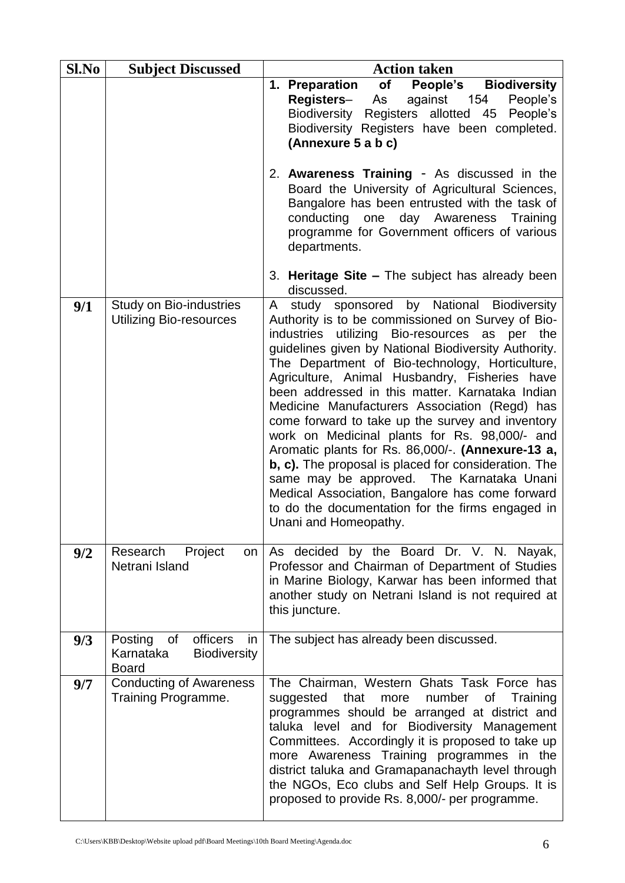| Sl.No | <b>Subject Discussed</b>                                                         | <b>Action taken</b>                                                                                                                                                                                                                                                                                                                                                                                                                                                                                                                                                                                                                                                                                                                                                                                                |
|-------|----------------------------------------------------------------------------------|--------------------------------------------------------------------------------------------------------------------------------------------------------------------------------------------------------------------------------------------------------------------------------------------------------------------------------------------------------------------------------------------------------------------------------------------------------------------------------------------------------------------------------------------------------------------------------------------------------------------------------------------------------------------------------------------------------------------------------------------------------------------------------------------------------------------|
|       |                                                                                  | <b>of</b><br><b>People's</b> Biodiversity<br>1. Preparation<br>against 154<br><b>Registers–</b><br>As<br>People's<br>Biodiversity Registers allotted 45 People's<br>Biodiversity Registers have been completed.<br>(Annexure 5 a b c)                                                                                                                                                                                                                                                                                                                                                                                                                                                                                                                                                                              |
|       |                                                                                  | 2. Awareness Training - As discussed in the<br>Board the University of Agricultural Sciences,<br>Bangalore has been entrusted with the task of<br>conducting one day Awareness Training<br>programme for Government officers of various<br>departments.                                                                                                                                                                                                                                                                                                                                                                                                                                                                                                                                                            |
|       |                                                                                  | 3. Heritage Site - The subject has already been<br>discussed.                                                                                                                                                                                                                                                                                                                                                                                                                                                                                                                                                                                                                                                                                                                                                      |
| 9/1   | Study on Bio-industries<br><b>Utilizing Bio-resources</b>                        | study sponsored by National Biodiversity<br>A<br>Authority is to be commissioned on Survey of Bio-<br>industries utilizing Bio-resources as per the<br>guidelines given by National Biodiversity Authority.<br>The Department of Bio-technology, Horticulture,<br>Agriculture, Animal Husbandry, Fisheries have<br>been addressed in this matter. Karnataka Indian<br>Medicine Manufacturers Association (Regd) has<br>come forward to take up the survey and inventory<br>work on Medicinal plants for Rs. 98,000/- and<br>Aromatic plants for Rs. 86,000/-. (Annexure-13 a,<br>b, c). The proposal is placed for consideration. The<br>same may be approved. The Karnataka Unani<br>Medical Association, Bangalore has come forward<br>to do the documentation for the firms engaged in<br>Unani and Homeopathy. |
| 9/2   | Research Project<br>on<br>Netrani Island                                         | As decided by the Board Dr. V. N. Nayak,<br>Professor and Chairman of Department of Studies<br>in Marine Biology, Karwar has been informed that<br>another study on Netrani Island is not required at<br>this juncture.                                                                                                                                                                                                                                                                                                                                                                                                                                                                                                                                                                                            |
| 9/3   | officers<br>Posting of<br>in<br>Karnataka<br><b>Biodiversity</b><br><b>Board</b> | The subject has already been discussed.                                                                                                                                                                                                                                                                                                                                                                                                                                                                                                                                                                                                                                                                                                                                                                            |
| 9/7   | <b>Conducting of Awareness</b><br>Training Programme.                            | The Chairman, Western Ghats Task Force has<br>suggested that<br>more number<br>of Training<br>programmes should be arranged at district and<br>taluka level and for Biodiversity Management<br>Committees. Accordingly it is proposed to take up<br>more Awareness Training programmes in the<br>district taluka and Gramapanachayth level through<br>the NGOs, Eco clubs and Self Help Groups. It is<br>proposed to provide Rs. 8,000/- per programme.                                                                                                                                                                                                                                                                                                                                                            |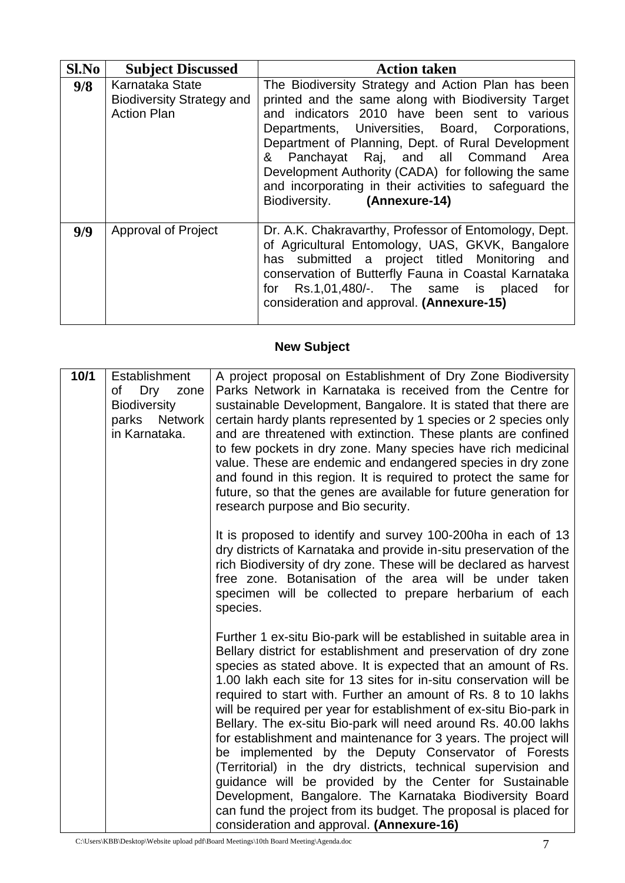| $Sl$ . No | <b>Subject Discussed</b>                                                  | <b>Action taken</b>                                                                                                                                                                                                                                                                                                                                                                                                                                          |
|-----------|---------------------------------------------------------------------------|--------------------------------------------------------------------------------------------------------------------------------------------------------------------------------------------------------------------------------------------------------------------------------------------------------------------------------------------------------------------------------------------------------------------------------------------------------------|
| 9/8       | Karnataka State<br><b>Biodiversity Strategy and</b><br><b>Action Plan</b> | The Biodiversity Strategy and Action Plan has been<br>printed and the same along with Biodiversity Target<br>and indicators 2010 have been sent to various<br>Departments, Universities, Board, Corporations,<br>Department of Planning, Dept. of Rural Development<br>& Panchayat Raj, and all Command Area<br>Development Authority (CADA) for following the same<br>and incorporating in their activities to safeguard the<br>Biodiversity. (Annexure-14) |
| 9/9       | <b>Approval of Project</b>                                                | Dr. A.K. Chakravarthy, Professor of Entomology, Dept.<br>of Agricultural Entomology, UAS, GKVK, Bangalore<br>has submitted a project titled Monitoring<br>and<br>conservation of Butterfly Fauna in Coastal Karnataka<br>for Rs.1,01,480/-. The same is placed<br>for<br>consideration and approval. (Annexure-15)                                                                                                                                           |

## **New Subject**

| 10/1 | <b>Establishment</b><br>Dry<br>of<br>zone<br><b>Biodiversity</b><br>parks Network<br>in Karnataka. | A project proposal on Establishment of Dry Zone Biodiversity<br>Parks Network in Karnataka is received from the Centre for<br>sustainable Development, Bangalore. It is stated that there are<br>certain hardy plants represented by 1 species or 2 species only<br>and are threatened with extinction. These plants are confined<br>to few pockets in dry zone. Many species have rich medicinal<br>value. These are endemic and endangered species in dry zone<br>and found in this region. It is required to protect the same for<br>future, so that the genes are available for future generation for<br>research purpose and Bio security.                                                                                                                                                                                                                                                                          |
|------|----------------------------------------------------------------------------------------------------|--------------------------------------------------------------------------------------------------------------------------------------------------------------------------------------------------------------------------------------------------------------------------------------------------------------------------------------------------------------------------------------------------------------------------------------------------------------------------------------------------------------------------------------------------------------------------------------------------------------------------------------------------------------------------------------------------------------------------------------------------------------------------------------------------------------------------------------------------------------------------------------------------------------------------|
|      |                                                                                                    | It is proposed to identify and survey 100-200ha in each of 13<br>dry districts of Karnataka and provide in-situ preservation of the<br>rich Biodiversity of dry zone. These will be declared as harvest<br>free zone. Botanisation of the area will be under taken<br>specimen will be collected to prepare herbarium of each<br>species.                                                                                                                                                                                                                                                                                                                                                                                                                                                                                                                                                                                |
|      |                                                                                                    | Further 1 ex-situ Bio-park will be established in suitable area in<br>Bellary district for establishment and preservation of dry zone<br>species as stated above. It is expected that an amount of Rs.<br>1.00 lakh each site for 13 sites for in-situ conservation will be<br>required to start with. Further an amount of Rs. 8 to 10 lakhs<br>will be required per year for establishment of ex-situ Bio-park in<br>Bellary. The ex-situ Bio-park will need around Rs. 40.00 lakhs<br>for establishment and maintenance for 3 years. The project will<br>be implemented by the Deputy Conservator of Forests<br>(Territorial) in the dry districts, technical supervision and<br>guidance will be provided by the Center for Sustainable<br>Development, Bangalore. The Karnataka Biodiversity Board<br>can fund the project from its budget. The proposal is placed for<br>consideration and approval. (Annexure-16) |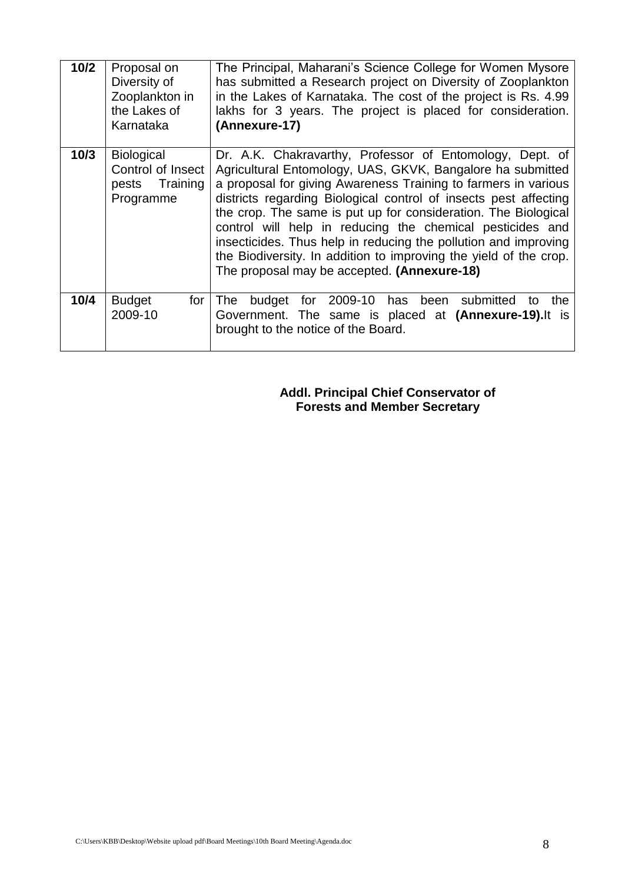| 10/2 | Proposal on<br>Diversity of<br>Zooplankton in<br>the Lakes of<br>Karnataka | The Principal, Maharani's Science College for Women Mysore<br>has submitted a Research project on Diversity of Zooplankton<br>in the Lakes of Karnataka. The cost of the project is Rs. 4.99<br>lakhs for 3 years. The project is placed for consideration.<br>(Annexure-17)                                                                                                                                                                                                                                                                                                       |
|------|----------------------------------------------------------------------------|------------------------------------------------------------------------------------------------------------------------------------------------------------------------------------------------------------------------------------------------------------------------------------------------------------------------------------------------------------------------------------------------------------------------------------------------------------------------------------------------------------------------------------------------------------------------------------|
| 10/3 | Biological<br>Control of Insect<br>pests Training<br>Programme             | Dr. A.K. Chakravarthy, Professor of Entomology, Dept. of<br>Agricultural Entomology, UAS, GKVK, Bangalore ha submitted<br>a proposal for giving Awareness Training to farmers in various<br>districts regarding Biological control of insects pest affecting<br>the crop. The same is put up for consideration. The Biological<br>control will help in reducing the chemical pesticides and<br>insecticides. Thus help in reducing the pollution and improving<br>the Biodiversity. In addition to improving the yield of the crop.<br>The proposal may be accepted. (Annexure-18) |
| 10/4 | <b>Budget</b><br>for I<br>2009-10                                          | for 2009-10 has been submitted<br>budget<br>the<br>The T<br>to<br>Government. The same is placed at (Annexure-19). It is<br>brought to the notice of the Board.                                                                                                                                                                                                                                                                                                                                                                                                                    |

**Addl. Principal Chief Conservator of Forests and Member Secretary**